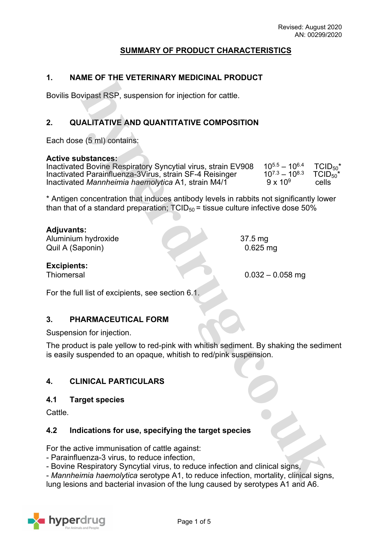# **SUMMARY OF PRODUCT CHARACTERISTICS**

#### **1. NAME OF THE VETERINARY MEDICINAL PRODUCT**

Bovilis Bovipast RSP, suspension for injection for cattle.

# **2. QUALITATIVE AND QUANTITATIVE COMPOSITION**

Each dose (5 ml) contains:

#### **Active substances:**

| Inactivated Bovine Respiratory Syncytial virus, strain EV908 | $10^{5.5} - 10^{6.4}$ | $TCID_{50}^*$ |
|--------------------------------------------------------------|-----------------------|---------------|
| Inactivated Parainfluenza-3Virus, strain SF-4 Reisinger      | $10^{7.3} - 10^{8.3}$ | $TCID_{50}^*$ |
| Inactivated Mannheimia haemolytica A1, strain M4/1           | $9 \times 10^{9}$     | cells         |

\* Antigen concentration that induces antibody levels in rabbits not significantly lower than that of a standard preparation;  $TCID_{50}$  = tissue culture infective dose 50%

### **Adjuvants:**

Aluminium hydroxide 37.5 mg Quil A (Saponin) 0.625 mg

**Excipients:**

Thiomersal 0.032 – 0.058 mg

For the full list of excipients, see section 6.1.

#### **3. PHARMACEUTICAL FORM**

Suspension for injection.

The product is pale yellow to red-pink with whitish sediment. By shaking the sediment is easily suspended to an opaque, whitish to red/pink suspension.

# **4. CLINICAL PARTICULARS**

#### **4.1 Target species**

**Cattle** 

#### **4.2 Indications for use, specifying the target species**

For the active immunisation of cattle against:

- Parainfluenza-3 virus, to reduce infection,

- Bovine Respiratory Syncytial virus, to reduce infection and clinical signs,

- *Mannheimia haemolytica* serotype A1, to reduce infection, mortality, clinical signs, lung lesions and bacterial invasion of the lung caused by serotypes A1 and A6.

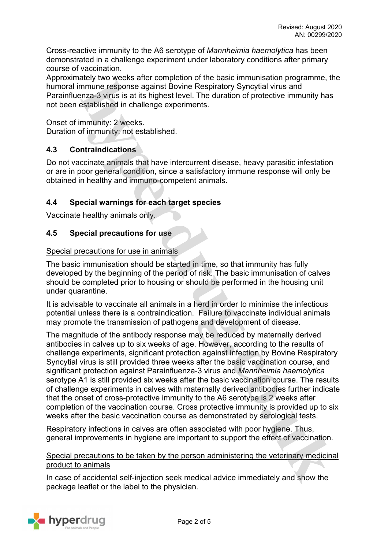Cross-reactive immunity to the A6 serotype of *Mannheimia haemolytica* has been demonstrated in a challenge experiment under laboratory conditions after primary course of vaccination.

Approximately two weeks after completion of the basic immunisation programme, the humoral immune response against Bovine Respiratory Syncytial virus and Parainfluenza-3 virus is at its highest level. The duration of protective immunity has not been established in challenge experiments.

Onset of immunity: 2 weeks. Duration of immunity: not established.

# **4.3 Contraindications**

Do not vaccinate animals that have intercurrent disease, heavy parasitic infestation or are in poor general condition, since a satisfactory immune response will only be obtained in healthy and immuno-competent animals.

# **4.4 Special warnings for each target species**

Vaccinate healthy animals only.

# **4.5 Special precautions for use**

# Special precautions for use in animals

The basic immunisation should be started in time, so that immunity has fully developed by the beginning of the period of risk. The basic immunisation of calves should be completed prior to housing or should be performed in the housing unit under quarantine.

It is advisable to vaccinate all animals in a herd in order to minimise the infectious potential unless there is a contraindication. Failure to vaccinate individual animals may promote the transmission of pathogens and development of disease.

The magnitude of the antibody response may be reduced by maternally derived antibodies in calves up to six weeks of age. However, according to the results of challenge experiments, significant protection against infection by Bovine Respiratory Syncytial virus is still provided three weeks after the basic vaccination course, and significant protection against Parainfluenza-3 virus and *Mannheimia haemolytica* serotype A1 is still provided six weeks after the basic vaccination course. The results of challenge experiments in calves with maternally derived antibodies further indicate that the onset of cross-protective immunity to the A6 serotype is 2 weeks after completion of the vaccination course. Cross protective immunity is provided up to six weeks after the basic vaccination course as demonstrated by serological tests.

Respiratory infections in calves are often associated with poor hygiene. Thus, general improvements in hygiene are important to support the effect of vaccination.

Special precautions to be taken by the person administering the veterinary medicinal product to animals

In case of accidental self-injection seek medical advice immediately and show the package leaflet or the label to the physician.

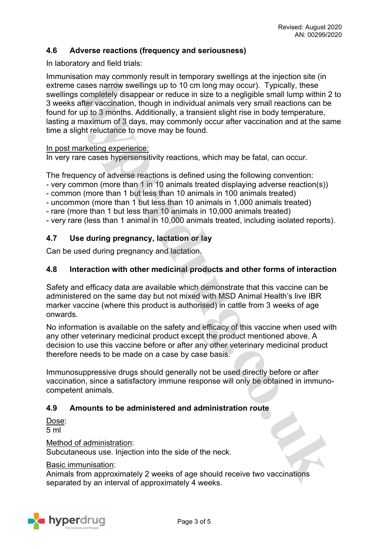# **4.6 Adverse reactions (frequency and seriousness)**

In laboratory and field trials:

Immunisation may commonly result in temporary swellings at the injection site (in extreme cases narrow swellings up to 10 cm long may occur). Typically, these swellings completely disappear or reduce in size to a negligible small lump within 2 to 3 weeks after vaccination, though in individual animals very small reactions can be found for up to 3 months. Additionally, a transient slight rise in body temperature, lasting a maximum of 3 days, may commonly occur after vaccination and at the same time a slight reluctance to move may be found.

#### In post marketing experience:

In very rare cases hypersensitivity reactions, which may be fatal, can occur.

The frequency of adverse reactions is defined using the following convention:

- very common (more than 1 in 10 animals treated displaying adverse reaction(s))
- common (more than 1 but less than 10 animals in 100 animals treated)
- uncommon (more than 1 but less than 10 animals in 1,000 animals treated)
- rare (more than 1 but less than 10 animals in 10,000 animals treated)

- very rare (less than 1 animal in 10,000 animals treated, including isolated reports).

# **4.7 Use during pregnancy, lactation or lay**

Can be used during pregnancy and lactation.

### **4.8 Interaction with other medicinal products and other forms of interaction**

Safety and efficacy data are available which demonstrate that this vaccine can be administered on the same day but not mixed with MSD Animal Health's live IBR marker vaccine (where this product is authorised) in cattle from 3 weeks of age onwards.

No information is available on the safety and efficacy of this vaccine when used with any other veterinary medicinal product except the product mentioned above. A decision to use this vaccine before or after any other veterinary medicinal product therefore needs to be made on a case by case basis.

Immunosuppressive drugs should generally not be used directly before or after vaccination, since a satisfactory immune response will only be obtained in immunocompetent animals.

# **4.9 Amounts to be administered and administration route**

Dose: 5 ml

Method of administration:

Subcutaneous use. Injection into the side of the neck.

#### Basic immunisation:

Animals from approximately 2 weeks of age should receive two vaccinations separated by an interval of approximately 4 weeks.

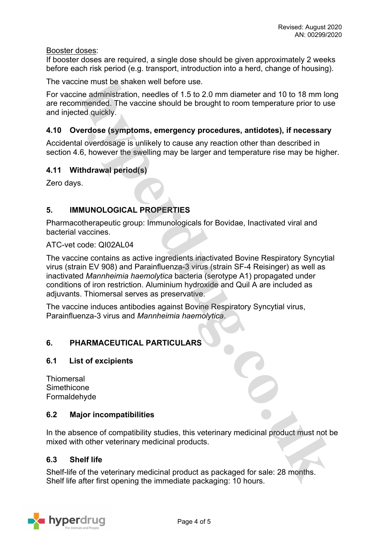Booster doses:

If booster doses are required, a single dose should be given approximately 2 weeks before each risk period (e.g. transport, introduction into a herd, change of housing).

The vaccine must be shaken well before use.

For vaccine administration, needles of 1.5 to 2.0 mm diameter and 10 to 18 mm long are recommended. The vaccine should be brought to room temperature prior to use and injected quickly.

# **4.10 Overdose (symptoms, emergency procedures, antidotes), if necessary**

Accidental overdosage is unlikely to cause any reaction other than described in section 4.6, however the swelling may be larger and temperature rise may be higher.

# **4.11 Withdrawal period(s)**

Zero days.

# **5. IMMUNOLOGICAL PROPERTIES**

Pharmacotherapeutic group: Immunologicals for Bovidae, Inactivated viral and bacterial vaccines.

#### ATC-vet code: QI02AL04

The vaccine contains as active ingredients inactivated Bovine Respiratory Syncytial virus (strain EV 908) and Parainfluenza-3 virus (strain SF-4 Reisinger) as well as inactivated *Mannheimia haemolytica* bacteria (serotype A1) propagated under conditions of iron restriction. Aluminium hydroxide and Quil A are included as adjuvants. Thiomersal serves as preservative.

The vaccine induces antibodies against Bovine Respiratory Syncytial virus, Parainfluenza-3 virus and *Mannheimia haemolytica*.

# **6. PHARMACEUTICAL PARTICULARS**

# **6.1 List of excipients**

| Thiomersal   |
|--------------|
| Simethicone  |
| Formaldehyde |

#### **6.2 Major incompatibilities**

In the absence of compatibility studies, this veterinary medicinal product must not be mixed with other veterinary medicinal products.

#### **6.3 Shelf life**

Shelf-life of the veterinary medicinal product as packaged for sale: 28 months. Shelf life after first opening the immediate packaging: 10 hours.